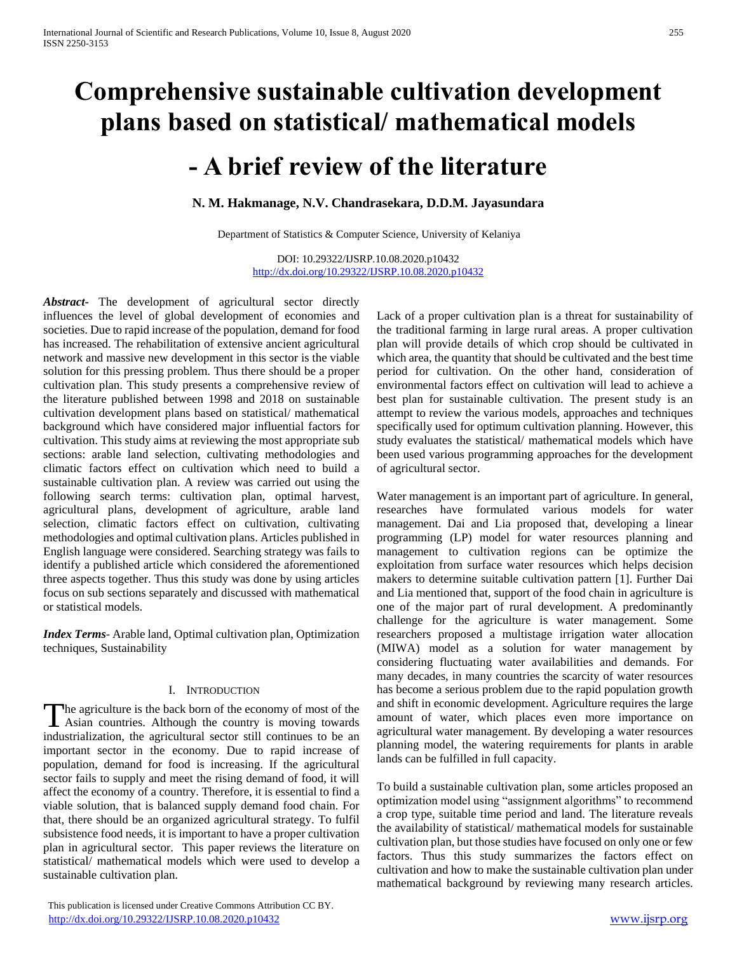# **Comprehensive sustainable cultivation development plans based on statistical/ mathematical models**

# **- A brief review of the literature**

**N. M. Hakmanage, N.V. Chandrasekara, D.D.M. Jayasundara**

Department of Statistics & Computer Science, University of Kelaniya

DOI: 10.29322/IJSRP.10.08.2020.p10432 <http://dx.doi.org/10.29322/IJSRP.10.08.2020.p10432>

*Abstract***-** The development of agricultural sector directly influences the level of global development of economies and societies. Due to rapid increase of the population, demand for food has increased. The rehabilitation of extensive ancient agricultural network and massive new development in this sector is the viable solution for this pressing problem. Thus there should be a proper cultivation plan. This study presents a comprehensive review of the literature published between 1998 and 2018 on sustainable cultivation development plans based on statistical/ mathematical background which have considered major influential factors for cultivation. This study aims at reviewing the most appropriate sub sections: arable land selection, cultivating methodologies and climatic factors effect on cultivation which need to build a sustainable cultivation plan. A review was carried out using the following search terms: cultivation plan, optimal harvest, agricultural plans, development of agriculture, arable land selection, climatic factors effect on cultivation, cultivating methodologies and optimal cultivation plans. Articles published in English language were considered. Searching strategy was fails to identify a published article which considered the aforementioned three aspects together. Thus this study was done by using articles focus on sub sections separately and discussed with mathematical or statistical models.

*Index Terms*- Arable land, Optimal cultivation plan, Optimization techniques, Sustainability

# I. INTRODUCTION

The agriculture is the back born of the economy of most of the Asian countries. Although the country is moving towards  $\blacktriangle$  Asian countries. Although the country is moving towards industrialization, the agricultural sector still continues to be an important sector in the economy. Due to rapid increase of population, demand for food is increasing. If the agricultural sector fails to supply and meet the rising demand of food, it will affect the economy of a country. Therefore, it is essential to find a viable solution, that is balanced supply demand food chain. For that, there should be an organized agricultural strategy. To fulfil subsistence food needs, it is important to have a proper cultivation plan in agricultural sector. This paper reviews the literature on statistical/ mathematical models which were used to develop a sustainable cultivation plan.

 This publication is licensed under Creative Commons Attribution CC BY. <http://dx.doi.org/10.29322/IJSRP.10.08.2020.p10432> [www.ijsrp.org](http://ijsrp.org/)

Lack of a proper cultivation plan is a threat for sustainability of the traditional farming in large rural areas. A proper cultivation plan will provide details of which crop should be cultivated in which area, the quantity that should be cultivated and the best time period for cultivation. On the other hand, consideration of environmental factors effect on cultivation will lead to achieve a best plan for sustainable cultivation. The present study is an attempt to review the various models, approaches and techniques specifically used for optimum cultivation planning. However, this study evaluates the statistical/ mathematical models which have been used various programming approaches for the development of agricultural sector.

Water management is an important part of agriculture. In general, researches have formulated various models for water management. Dai and Lia proposed that, developing a linear programming (LP) model for water resources planning and management to cultivation regions can be optimize the exploitation from surface water resources which helps decision makers to determine suitable cultivation pattern [1]. Further Dai and Lia mentioned that, support of the food chain in agriculture is one of the major part of rural development. A predominantly challenge for the agriculture is water management. Some researchers proposed a multistage irrigation water allocation (MIWA) model as a solution for water management by considering fluctuating water availabilities and demands. For many decades, in many countries the scarcity of water resources has become a serious problem due to the rapid population growth and shift in economic development. Agriculture requires the large amount of water, which places even more importance on agricultural water management. By developing a water resources planning model, the watering requirements for plants in arable lands can be fulfilled in full capacity.

To build a sustainable cultivation plan, some articles proposed an optimization model using "assignment algorithms" to recommend a crop type, suitable time period and land. The literature reveals the availability of statistical/ mathematical models for sustainable cultivation plan, but those studies have focused on only one or few factors. Thus this study summarizes the factors effect on cultivation and how to make the sustainable cultivation plan under mathematical background by reviewing many research articles.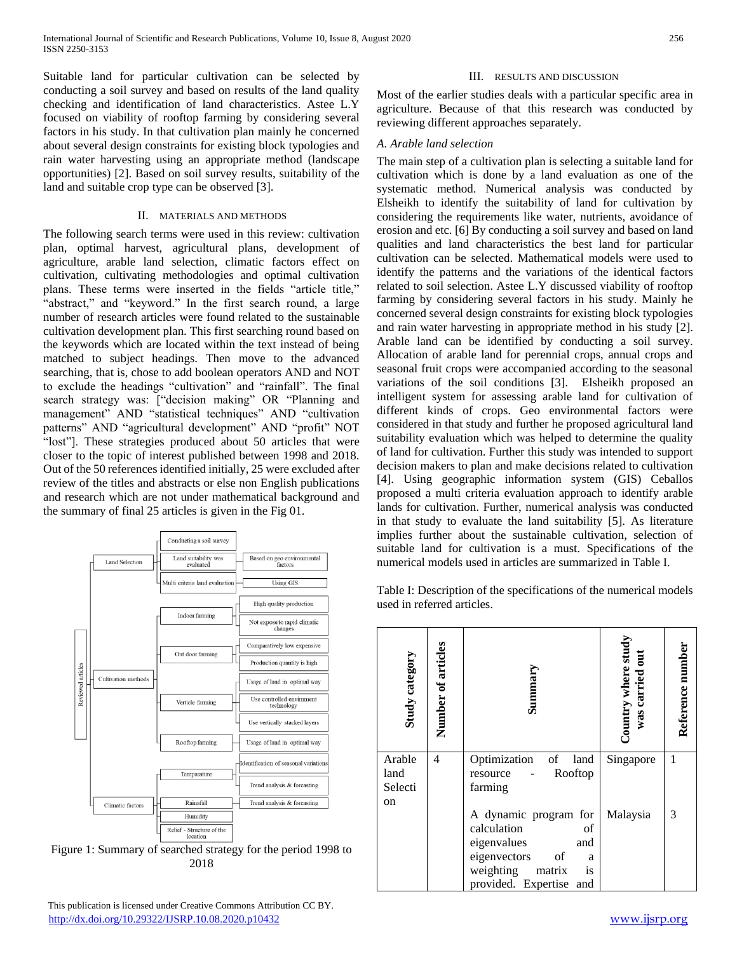Suitable land for particular cultivation can be selected by conducting a soil survey and based on results of the land quality checking and identification of land characteristics. Astee L.Y focused on viability of rooftop farming by considering several factors in his study. In that cultivation plan mainly he concerned about several design constraints for existing block typologies and rain water harvesting using an appropriate method (landscape opportunities) [2]. Based on soil survey results, suitability of the land and suitable crop type can be observed [3].

### II. MATERIALS AND METHODS

The following search terms were used in this review: cultivation plan, optimal harvest, agricultural plans, development of agriculture, arable land selection, climatic factors effect on cultivation, cultivating methodologies and optimal cultivation plans. These terms were inserted in the fields "article title," "abstract," and "keyword." In the first search round, a large number of research articles were found related to the sustainable cultivation development plan. This first searching round based on the keywords which are located within the text instead of being matched to subject headings. Then move to the advanced searching, that is, chose to add boolean operators AND and NOT to exclude the headings "cultivation" and "rainfall". The final search strategy was: ["decision making" OR "Planning and management" AND "statistical techniques" AND "cultivation patterns" AND "agricultural development" AND "profit" NOT "lost"]. These strategies produced about 50 articles that were closer to the topic of interest published between 1998 and 2018. Out of the 50 references identified initially, 25 were excluded after review of the titles and abstracts or else non English publications and research which are not under mathematical background and the summary of final 25 articles is given in the Fig 01.



Figure 1: Summary of searched strategy for the period 1998 to 2018

 This publication is licensed under Creative Commons Attribution CC BY. <http://dx.doi.org/10.29322/IJSRP.10.08.2020.p10432> [www.ijsrp.org](http://ijsrp.org/)

# III. RESULTS AND DISCUSSION

Most of the earlier studies deals with a particular specific area in agriculture. Because of that this research was conducted by reviewing different approaches separately.

# *A. Arable land selection*

The main step of a cultivation plan is selecting a suitable land for cultivation which is done by a land evaluation as one of the systematic method. Numerical analysis was conducted by Elsheikh to identify the suitability of land for cultivation by considering the requirements like water, nutrients, avoidance of erosion and etc. [6] By conducting a soil survey and based on land qualities and land characteristics the best land for particular cultivation can be selected. Mathematical models were used to identify the patterns and the variations of the identical factors related to soil selection. Astee L.Y discussed viability of rooftop farming by considering several factors in his study. Mainly he concerned several design constraints for existing block typologies and rain water harvesting in appropriate method in his study [2]. Arable land can be identified by conducting a soil survey. Allocation of arable land for perennial crops, annual crops and seasonal fruit crops were accompanied according to the seasonal variations of the soil conditions [3]. Elsheikh proposed an intelligent system for assessing arable land for cultivation of different kinds of crops. Geo environmental factors were considered in that study and further he proposed agricultural land suitability evaluation which was helped to determine the quality of land for cultivation. Further this study was intended to support decision makers to plan and make decisions related to cultivation [4]. Using geographic information system (GIS) Ceballos proposed a multi criteria evaluation approach to identify arable lands for cultivation. Further, numerical analysis was conducted in that study to evaluate the land suitability [5]. As literature implies further about the sustainable cultivation, selection of suitable land for cultivation is a must. Specifications of the numerical models used in articles are summarized in Table I.

Table I: Description of the specifications of the numerical models used in referred articles.

| <b>Study category</b> | Number of articles | Summar                                            | Country where study<br>was carried out | Reference number |
|-----------------------|--------------------|---------------------------------------------------|----------------------------------------|------------------|
| Arable<br>land        | 4                  | of<br>Optimization<br>land<br>Rooftop<br>resource | Singapore                              | 1                |
| Selecti               |                    | farming                                           |                                        |                  |
| on                    |                    |                                                   |                                        |                  |
|                       |                    | A dynamic program for                             | Malaysia                               | 3                |
|                       |                    | calculation<br>of                                 |                                        |                  |
|                       |                    | eigenvalues<br>and                                |                                        |                  |
|                       |                    | eigenvectors<br>οf<br>a                           |                                        |                  |
|                       |                    | weighting<br>matrix<br>is                         |                                        |                  |
|                       |                    | provided. Expertise<br>and                        |                                        |                  |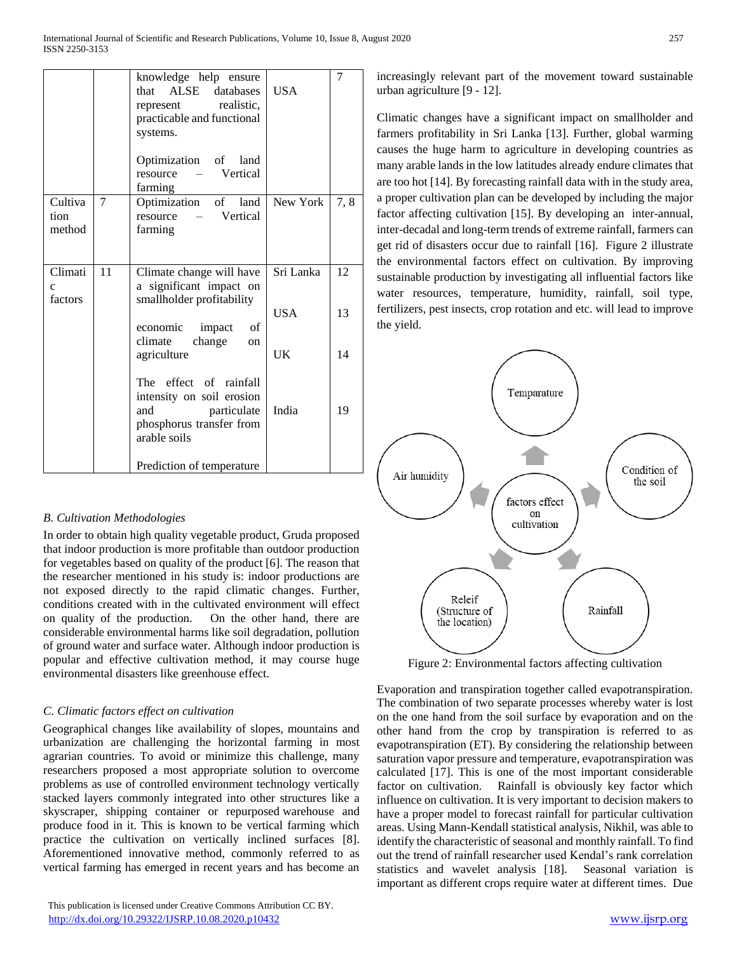|                                    |    | knowledge help ensure<br>that ALSE databases<br>represent realistic,<br>practicable and functional<br>systems.<br>Optimization of land<br>resource – Vertical<br>farming | <b>USA</b>                    | 7              |
|------------------------------------|----|--------------------------------------------------------------------------------------------------------------------------------------------------------------------------|-------------------------------|----------------|
| Cultiva<br>tion<br>method          | 7  | Optimization of land<br>- Vertical<br>resource<br>farming                                                                                                                | New York                      | 7,8            |
| Climati<br>$\mathbf{C}$<br>factors | 11 | Climate change will have<br>a significant impact on<br>smallholder profitability<br>economic impact of<br>climate change<br>on<br>agriculture                            | Sri Lanka<br><b>USA</b><br>UK | 12<br>13<br>14 |
|                                    |    | The effect of rainfall<br>intensity on soil erosion<br>particulate<br>and<br>phosphorus transfer from<br>arable soils<br>Prediction of temperature                       | India                         | 19             |

# *B. Cultivation Methodologies*

In order to obtain high quality vegetable product, Gruda proposed that indoor production is more profitable than outdoor production for vegetables based on quality of the product [6]. The reason that the researcher mentioned in his study is: indoor productions are not exposed directly to the rapid climatic changes. Further, conditions created with in the cultivated environment will effect on quality of the production. On the other hand, there are considerable environmental harms like soil degradation, pollution of ground water and surface water. Although indoor production is popular and effective cultivation method, it may course huge environmental disasters like greenhouse effect.

## *C. Climatic factors effect on cultivation*

Geographical changes like availability of slopes, mountains and urbanization are challenging the horizontal farming in most agrarian countries. To avoid or minimize this challenge, many researchers proposed a most appropriate solution to overcome problems as use of controlled environment technology vertically stacked layers commonly integrated into other structures like a skyscraper, shipping container or repurposed warehouse and produce food in it. This is known to be vertical farming which practice the cultivation on vertically inclined surfaces [8]. Aforementioned innovative method, commonly referred to as vertical farming has emerged in recent years and has become an

increasingly relevant part of the movement toward sustainable urban agriculture [9 - 12].

Climatic changes have a significant impact on smallholder and farmers profitability in Sri Lanka [\[13\].](#page-3-0) Further, global warming causes the huge harm to agriculture in developing countries as many arable lands in the low latitudes already endure climates that are too ho[t \[14\].](#page-3-1) By forecasting rainfall data with in the study area, a proper cultivation plan can be developed by including the major factor affecting cultivation [\[15\].](#page-3-2) By developing an inter-annual, inter-decadal and long-term trends of extreme rainfall, farmers can get rid of disasters occur due to rainfall [\[16\].](#page-3-3) Figure 2 illustrate the environmental factors effect on cultivation. By improving sustainable production by investigating all influential factors like water resources, temperature, humidity, rainfall, soil type, fertilizers, pest insects, crop rotation and etc. will lead to improve the yield.



Figure 2: Environmental factors affecting cultivation

Evaporation and transpiration together called evapotranspiration. The combination of two separate processes whereby water is lost on the one hand from the soil surface by evaporation and on the other hand from the crop by transpiration is referred to as evapotranspiration (ET). By considering the relationship between saturation vapor pressure and temperature, evapotranspiration was calculated [17]. This is one of the most important considerable factor on cultivation. Rainfall is obviously key factor which influence on cultivation. It is very important to decision makers to have a proper model to forecast rainfall for particular cultivation areas. Using Mann-Kendall statistical analysis, Nikhil, was able to identify the characteristic of seasonal and monthly rainfall. To find out the trend of rainfall researcher used Kendal's rank correlation statistics and wavelet analysis [18]. Seasonal variation is important as different crops require water at different times. Due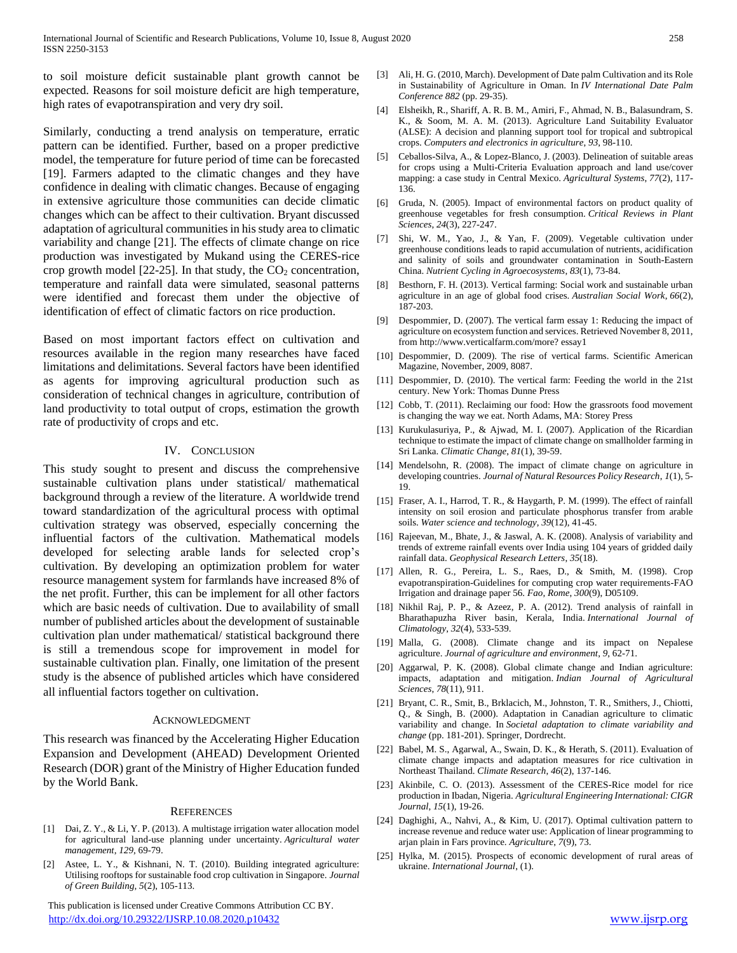to soil moisture deficit sustainable plant growth cannot be expected. Reasons for soil moisture deficit are high temperature, high rates of evapotranspiration and very dry soil.

Similarly, conducting a trend analysis on temperature, erratic pattern can be identified. Further, based on a proper predictive model, the temperature for future period of time can be forecasted [19]. Farmers adapted to the climatic changes and they have confidence in dealing with climatic changes. Because of engaging in extensive agriculture those communities can decide climatic changes which can be affect to their cultivation. Bryant discussed adaptation of agricultural communities in his study area to climatic variability and change [21]. The effects of climate change on rice production was investigated by Mukand using the CERES-rice crop growth model  $[22-25]$ . In that study, the  $CO<sub>2</sub>$  concentration, temperature and rainfall data were simulated, seasonal patterns were identified and forecast them under the objective of identification of effect of climatic factors on rice production.

Based on most important factors effect on cultivation and resources available in the region many researches have faced limitations and delimitations. Several factors have been identified as agents for improving agricultural production such as consideration of technical changes in agriculture, contribution of land productivity to total output of crops, estimation the growth rate of productivity of crops and etc.

#### IV. CONCLUSION

This study sought to present and discuss the comprehensive sustainable cultivation plans under statistical/ mathematical background through a review of the literature. A worldwide trend toward standardization of the agricultural process with optimal cultivation strategy was observed, especially concerning the influential factors of the cultivation. Mathematical models developed for selecting arable lands for selected crop's cultivation. By developing an optimization problem for water resource management system for farmlands have increased 8% of the net profit. Further, this can be implement for all other factors which are basic needs of cultivation. Due to availability of small number of published articles about the development of sustainable cultivation plan under mathematical/ statistical background there is still a tremendous scope for improvement in model for sustainable cultivation plan. Finally, one limitation of the present study is the absence of published articles which have considered all influential factors together on cultivation.

#### ACKNOWLEDGMENT

This research was financed by the Accelerating Higher Education Expansion and Development (AHEAD) Development Oriented Research (DOR) grant of the Ministry of Higher Education funded by the World Bank.

#### **REFERENCES**

- [1] Dai, Z. Y., & Li, Y. P. (2013). A multistage irrigation water allocation model for agricultural land-use planning under uncertainty. *Agricultural water management*, *129*, 69-79.
- [2] Astee, L. Y., & Kishnani, N. T. (2010). Building integrated agriculture: Utilising rooftops for sustainable food crop cultivation in Singapore. *Journal of Green Building*, *5*(2), 105-113.

 This publication is licensed under Creative Commons Attribution CC BY. <http://dx.doi.org/10.29322/IJSRP.10.08.2020.p10432> [www.ijsrp.org](http://ijsrp.org/)

- [3] Ali, H. G. (2010, March). Development of Date palm Cultivation and its Role in Sustainability of Agriculture in Oman. In *IV International Date Palm Conference 882* (pp. 29-35).
- [4] Elsheikh, R., Shariff, A. R. B. M., Amiri, F., Ahmad, N. B., Balasundram, S. K., & Soom, M. A. M. (2013). Agriculture Land Suitability Evaluator (ALSE): A decision and planning support tool for tropical and subtropical crops. *Computers and electronics in agriculture*, *93*, 98-110.
- [5] Ceballos-Silva, A., & Lopez-Blanco, J. (2003). Delineation of suitable areas for crops using a Multi-Criteria Evaluation approach and land use/cover mapping: a case study in Central Mexico. *Agricultural Systems*, *77*(2), 117- 136.
- [6] Gruda, N. (2005). Impact of environmental factors on product quality of greenhouse vegetables for fresh consumption. *Critical Reviews in Plant Sciences*, *24*(3), 227-247.
- [7] Shi, W. M., Yao, J., & Yan, F. (2009). Vegetable cultivation under greenhouse conditions leads to rapid accumulation of nutrients, acidification and salinity of soils and groundwater contamination in South-Eastern China. *Nutrient Cycling in Agroecosystems*, *83*(1), 73-84.
- [8] Besthorn, F. H. (2013). Vertical farming: Social work and sustainable urban agriculture in an age of global food crises. *Australian Social Work*, *66*(2), 187-203.
- [9] Despommier, D. (2007). The vertical farm essay 1: Reducing the impact of agriculture on ecosystem function and services. Retrieved November 8, 2011, from http://www.verticalfarm.com/more? essay1
- [10] Despommier, D. (2009). The rise of vertical farms. Scientific American Magazine, November, 2009, 8087.
- [11] Despommier, D. (2010). The vertical farm: Feeding the world in the 21st century. New York: Thomas Dunne Press
- [12] Cobb, T. (2011). Reclaiming our food: How the grassroots food movement is changing the way we eat. North Adams, MA: Storey Press
- <span id="page-3-0"></span>[13] Kurukulasuriya, P., & Ajwad, M. I. (2007). Application of the Ricardian technique to estimate the impact of climate change on smallholder farming in Sri Lanka. *Climatic Change*, *81*(1), 39-59.
- <span id="page-3-1"></span>[14] Mendelsohn, R. (2008). The impact of climate change on agriculture in developing countries. *Journal of Natural Resources Policy Research*, *1*(1), 5- 19.
- <span id="page-3-2"></span>[15] Fraser, A. I., Harrod, T. R., & Haygarth, P. M. (1999). The effect of rainfall intensity on soil erosion and particulate phosphorus transfer from arable soils. *Water science and technology*, *39*(12), 41-45.
- <span id="page-3-3"></span>[16] Rajeevan, M., Bhate, J., & Jaswal, A. K. (2008). Analysis of variability and trends of extreme rainfall events over India using 104 years of gridded daily rainfall data. *Geophysical Research Letters*, *35*(18).
- [17] Allen, R. G., Pereira, L. S., Raes, D., & Smith, M. (1998). Crop evapotranspiration-Guidelines for computing crop water requirements-FAO Irrigation and drainage paper 56. *Fao, Rome*, *300*(9), D05109.
- [18] Nikhil Raj, P. P., & Azeez, P. A. (2012). Trend analysis of rainfall in Bharathapuzha River basin, Kerala, India. *International Journal of Climatology*, *32*(4), 533-539.
- [19] Malla, G. (2008). Climate change and its impact on Nepalese agriculture. *Journal of agriculture and environment*, *9*, 62-71.
- [20] Aggarwal, P. K. (2008). Global climate change and Indian agriculture: impacts, adaptation and mitigation. *Indian Journal of Agricultural Sciences*, *78*(11), 911.
- [21] Bryant, C. R., Smit, B., Brklacich, M., Johnston, T. R., Smithers, J., Chiotti, Q., & Singh, B. (2000). Adaptation in Canadian agriculture to climatic variability and change. In *Societal adaptation to climate variability and change* (pp. 181-201). Springer, Dordrecht.
- [22] Babel, M. S., Agarwal, A., Swain, D. K., & Herath, S. (2011). Evaluation of climate change impacts and adaptation measures for rice cultivation in Northeast Thailand. *Climate Research*, *46*(2), 137-146.
- [23] Akinbile, C. O. (2013). Assessment of the CERES-Rice model for rice production in Ibadan, Nigeria. *Agricultural Engineering International: CIGR Journal*, *15*(1), 19-26.
- [24] Daghighi, A., Nahvi, A., & Kim, U. (2017). Optimal cultivation pattern to increase revenue and reduce water use: Application of linear programming to arjan plain in Fars province. *Agriculture*, *7*(9), 73.
- [25] Hylka, M. (2015). Prospects of economic development of rural areas of ukraine. *International Journal*, (1).